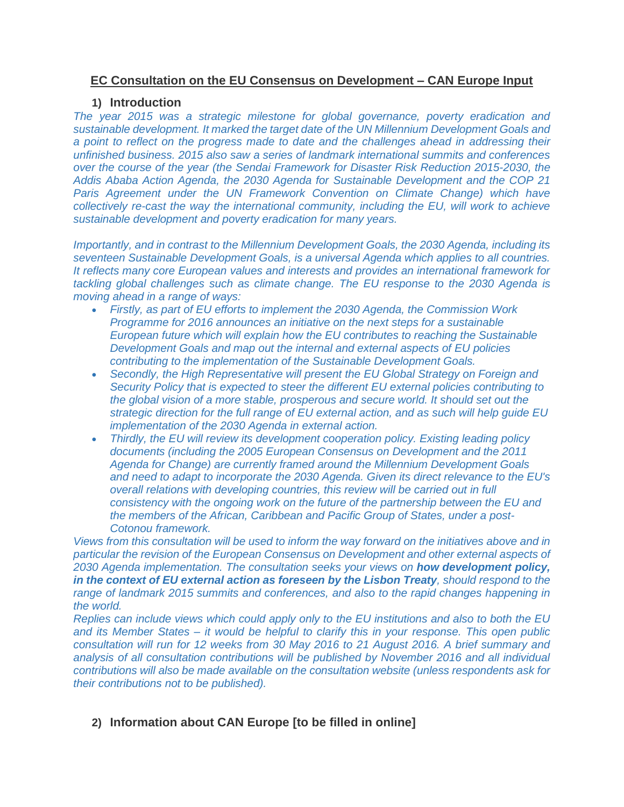## **EC Consultation on the EU Consensus on Development – CAN Europe Input**

### **1) Introduction**

*The year 2015 was a strategic milestone for global governance, poverty eradication and sustainable development. It marked the target date of the UN Millennium Development Goals and a point to reflect on the progress made to date and the challenges ahead in addressing their unfinished business. 2015 also saw a series of landmark international summits and conferences over the course of the year (the [Sendai Framework for Disaster Risk Reduction 2015-2030,](http://www.unisdr.org/files/43291_sendaiframeworkfordrren.pdf) the [Addis Ababa Action Agenda,](http://www.un.org/esa/ffd/wp-content/uploads/2015/08/AAAA_Outcome.pdf) the [2030 Agenda for Sustainable Development](https://sustainabledevelopment.un.org/content/documents/21252030%20Agenda%20for%20Sustainable%20Development%20web.pdf) and the COP 21 [Paris Agreement](https://unfccc.int/resource/docs/2015/cop21/eng/l09r01.pdf) under the UN Framework Convention on Climate Change) which have collectively re-cast the way the international community, including the EU, will work to achieve sustainable development and poverty eradication for many years.*

*Importantly, and in contrast to the Millennium Development Goals, the 2030 Agenda, including its seventeen Sustainable Development Goals, is a universal Agenda which applies to all countries. It reflects many core European values and interests and provides an international framework for tackling global challenges such as climate change. The EU response to the 2030 Agenda is moving ahead in a range of ways:*

- *Firstly, as part of EU efforts to implement the 2030 Agenda, the [Commission Work](http://ec.europa.eu/atwork/pdf/cwp_2016_en.pdf)  [Programme for 2016](http://ec.europa.eu/atwork/pdf/cwp_2016_en.pdf) announces an initiative on the next steps for a sustainable European future which will explain how the EU contributes to reaching the Sustainable Development Goals and map out the internal and external aspects of EU policies contributing to the implementation of the Sustainable Development Goals.*
- *Secondly, the High Representative will present the [EU Global Strategy on Foreign and](http://europa.eu/globalstrategy/en/global-strategy-foreign-and-security-policy-european-union)  [Security Policy](http://europa.eu/globalstrategy/en/global-strategy-foreign-and-security-policy-european-union) that is expected to steer the different EU external policies contributing to the global vision of a more stable, prosperous and secure world. It should set out the strategic direction for the full range of EU external action, and as such will help guide EU implementation of the 2030 Agenda in external action.*
- *Thirdly, the EU will review its development cooperation policy. Existing leading policy documents (including the [2005 European Consensus on Development](http://eur-lex.europa.eu/LexUriServ/LexUriServ.do?uri=OJ%3AC%3A2006%3A046%3A0001%3A0019%3AEN%3APDF) and the [2011](http://eur-lex.europa.eu/legal-content/EN/TXT/PDF/?uri=CELEX%3A52011DC0637&qid=1412922281378&from=EN)  [Agenda for Change\)](http://eur-lex.europa.eu/legal-content/EN/TXT/PDF/?uri=CELEX%3A52011DC0637&qid=1412922281378&from=EN) are currently framed around the Millennium Development Goals and need to adapt to incorporate the 2030 Agenda. Given its direct relevance to the EU's overall relations with developing countries, this review will be carried out in full consistency with the ongoing work on the future of the partnership between the EU and the members of the African, Caribbean and Pacific Group of States, under a post-[Cotonou](http://ec.europa.eu/europeaid/node/1584) framework.*

*Views from this consultation will be used to inform the way forward on the initiatives above and in particular the revision of the European Consensus on Development and other external aspects of 2030 Agenda implementation. The consultation seeks your views on how development policy, in the context of EU external action as foreseen by the Lisbon Treaty, should respond to the range of landmark 2015 summits and conferences, and also to the rapid changes happening in the world.*

*Replies can include views which could apply only to the EU institutions and also to both the EU and its Member States – it would be helpful to clarify this in your response. This open public consultation will run for 12 weeks from 30 May 2016 to 21 August 2016. A brief summary and analysis of all consultation contributions will be published by November 2016 and all individual contributions will also be made available on the consultation website (unless respondents ask for their contributions not to be published).*

# **2) Information about CAN Europe [to be filled in online]**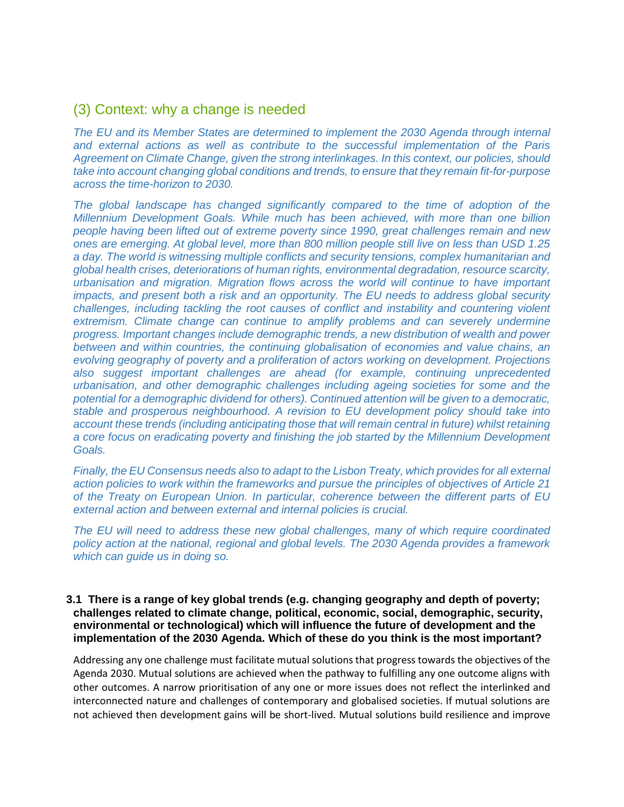# (3) Context: why a change is needed

*The EU and its Member States are determined to implement the 2030 Agenda through internal and external actions as well as contribute to the successful implementation of the Paris Agreement on Climate Change, given the strong interlinkages. In this context, our policies, should take into account changing global conditions and trends, to ensure that they remain fit-for-purpose across the time-horizon to 2030.*

*The global landscape has changed significantly compared to the time of adoption of the Millennium Development Goals. While much has been achieved, with more than one billion people having been lifted out of extreme poverty since 1990, great challenges remain and new ones are emerging. At global level, more than 800 million people still live on less than USD 1.25 a day. The world is witnessing multiple conflicts and security tensions, complex humanitarian and global health crises, deteriorations of human rights, environmental degradation, resource scarcity, urbanisation and migration. Migration flows across the world will continue to have important impacts, and present both a risk and an opportunity. The EU needs to address global security challenges, including tackling the root causes of conflict and instability and countering violent*  extremism. Climate change can continue to amplify problems and can severely undermine *progress. Important changes include demographic trends, a new distribution of wealth and power between and within countries, the continuing globalisation of economies and value chains, an evolving geography of poverty and a proliferation of actors working on development. Projections also suggest important challenges are ahead (for example, continuing unprecedented urbanisation, and other demographic challenges including ageing societies for some and the potential for a demographic dividend for others). Continued attention will be given to a democratic, stable and prosperous neighbourhood. A revision to EU development policy should take into account these trends (including anticipating those that will remain central in future) whilst retaining a core focus on eradicating poverty and finishing the job started by the Millennium Development Goals.*

*Finally, the EU Consensus needs also to adapt to the Lisbon Treaty, which provides for all external action policies to work within the frameworks and pursue the principles of objectives of Article 21 of the Treaty on European Union. In particular, coherence between the different parts of EU external action and between external and internal policies is crucial.*

*The EU will need to address these new global challenges, many of which require coordinated policy action at the national, regional and global levels. The 2030 Agenda provides a framework which can guide us in doing so.*

#### **3.1 There is a range of key global trends (e.g. changing geography and depth of poverty; challenges related to climate change, political, economic, social, demographic, security, environmental or technological) which will influence the future of development and the implementation of the 2030 Agenda. Which of these do you think is the most important?**

Addressing any one challenge must facilitate mutual solutions that progress towards the objectives of the Agenda 2030. Mutual solutions are achieved when the pathway to fulfilling any one outcome aligns with other outcomes. A narrow prioritisation of any one or more issues does not reflect the interlinked and interconnected nature and challenges of contemporary and globalised societies. If mutual solutions are not achieved then development gains will be short-lived. Mutual solutions build resilience and improve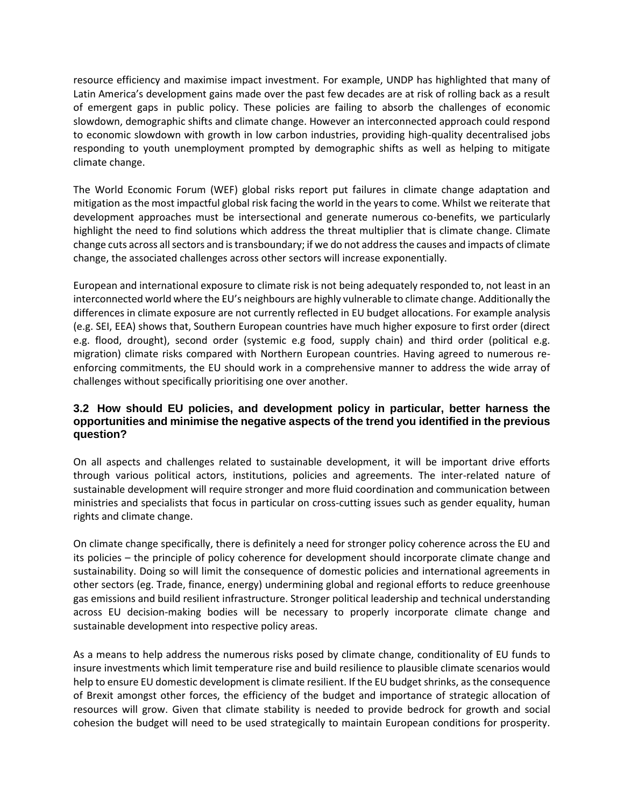resource efficiency and maximise impact investment. For example, UNDP has highlighted that many of Latin America's development gains made over the past few decades are at risk of rolling back as a result of emergent gaps in public policy. These policies are failing to absorb the challenges of economic slowdown, demographic shifts and climate change. However an interconnected approach could respond to economic slowdown with growth in low carbon industries, providing high-quality decentralised jobs responding to youth unemployment prompted by demographic shifts as well as helping to mitigate climate change.

The World Economic Forum (WEF) global risks report put failures in climate change adaptation and mitigation as the most impactful global risk facing the world in the years to come. Whilst we reiterate that development approaches must be intersectional and generate numerous co-benefits, we particularly highlight the need to find solutions which address the threat multiplier that is climate change. Climate change cuts across all sectors and is transboundary; if we do not address the causes and impacts of climate change, the associated challenges across other sectors will increase exponentially.

European and international exposure to climate risk is not being adequately responded to, not least in an interconnected world where the EU's neighbours are highly vulnerable to climate change. Additionally the differences in climate exposure are not currently reflected in EU budget allocations. For example analysis (e.g. SEI, EEA) shows that, Southern European countries have much higher exposure to first order (direct e.g. flood, drought), second order (systemic e.g food, supply chain) and third order (political e.g. migration) climate risks compared with Northern European countries. Having agreed to numerous reenforcing commitments, the EU should work in a comprehensive manner to address the wide array of challenges without specifically prioritising one over another.

### **3.2 How should EU policies, and development policy in particular, better harness the opportunities and minimise the negative aspects of the trend you identified in the previous question?**

On all aspects and challenges related to sustainable development, it will be important drive efforts through various political actors, institutions, policies and agreements. The inter-related nature of sustainable development will require stronger and more fluid coordination and communication between ministries and specialists that focus in particular on cross-cutting issues such as gender equality, human rights and climate change.

On climate change specifically, there is definitely a need for stronger policy coherence across the EU and its policies – the principle of policy coherence for development should incorporate climate change and sustainability. Doing so will limit the consequence of domestic policies and international agreements in other sectors (eg. Trade, finance, energy) undermining global and regional efforts to reduce greenhouse gas emissions and build resilient infrastructure. Stronger political leadership and technical understanding across EU decision-making bodies will be necessary to properly incorporate climate change and sustainable development into respective policy areas.

As a means to help address the numerous risks posed by climate change, conditionality of EU funds to insure investments which limit temperature rise and build resilience to plausible climate scenarios would help to ensure EU domestic development is climate resilient. If the EU budget shrinks, as the consequence of Brexit amongst other forces, the efficiency of the budget and importance of strategic allocation of resources will grow. Given that climate stability is needed to provide bedrock for growth and social cohesion the budget will need to be used strategically to maintain European conditions for prosperity.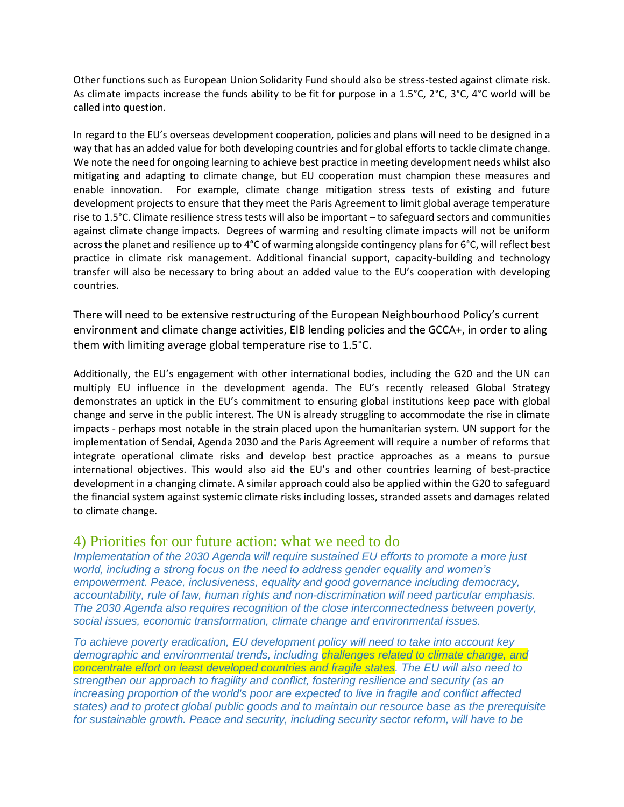Other functions such as European Union Solidarity Fund should also be stress-tested against climate risk. As climate impacts increase the funds ability to be fit for purpose in a 1.5°C, 2°C, 3°C, 4°C world will be called into question.

In regard to the EU's overseas development cooperation, policies and plans will need to be designed in a way that has an added value for both developing countries and for global efforts to tackle climate change. We note the need for ongoing learning to achieve best practice in meeting development needs whilst also mitigating and adapting to climate change, but EU cooperation must champion these measures and enable innovation. For example, climate change mitigation stress tests of existing and future development projects to ensure that they meet the Paris Agreement to limit global average temperature rise to 1.5°C. Climate resilience stress tests will also be important – to safeguard sectors and communities against climate change impacts. Degrees of warming and resulting climate impacts will not be uniform across the planet and resilience up to 4°C of warming alongside contingency plans for 6°C, will reflect best practice in climate risk management. Additional financial support, capacity-building and technology transfer will also be necessary to bring about an added value to the EU's cooperation with developing countries.

There will need to be extensive restructuring of the European Neighbourhood Policy's current environment and climate change activities, EIB lending policies and the GCCA+, in order to aling them with limiting average global temperature rise to 1.5°C.

Additionally, the EU's engagement with other international bodies, including the G20 and the UN can multiply EU influence in the development agenda. The EU's recently released Global Strategy demonstrates an uptick in the EU's commitment to ensuring global institutions keep pace with global change and serve in the public interest. The UN is already struggling to accommodate the rise in climate impacts - perhaps most notable in the strain placed upon the humanitarian system. UN support for the implementation of Sendai, Agenda 2030 and the Paris Agreement will require a number of reforms that integrate operational climate risks and develop best practice approaches as a means to pursue international objectives. This would also aid the EU's and other countries learning of best-practice development in a changing climate. A similar approach could also be applied within the G20 to safeguard the financial system against systemic climate risks including losses, stranded assets and damages related to climate change.

# 4) Priorities for our future action: what we need to do

*Implementation of the 2030 Agenda will require sustained EU efforts to promote a more just world, including a strong focus on the need to address gender equality and women's empowerment. Peace, inclusiveness, equality and good governance including democracy, accountability, rule of law, human rights and non-discrimination will need particular emphasis. The 2030 Agenda also requires recognition of the close interconnectedness between poverty, social issues, economic transformation, climate change and environmental issues.*

*To achieve poverty eradication, EU development policy will need to take into account key demographic and environmental trends, including challenges related to climate change, and concentrate effort on least developed countries and fragile states. The EU will also need to strengthen our approach to fragility and conflict, fostering resilience and security (as an increasing proportion of the world's poor are expected to live in fragile and conflict affected states) and to protect global public goods and to maintain our resource base as the prerequisite for sustainable growth. Peace and security, including security sector reform, will have to be*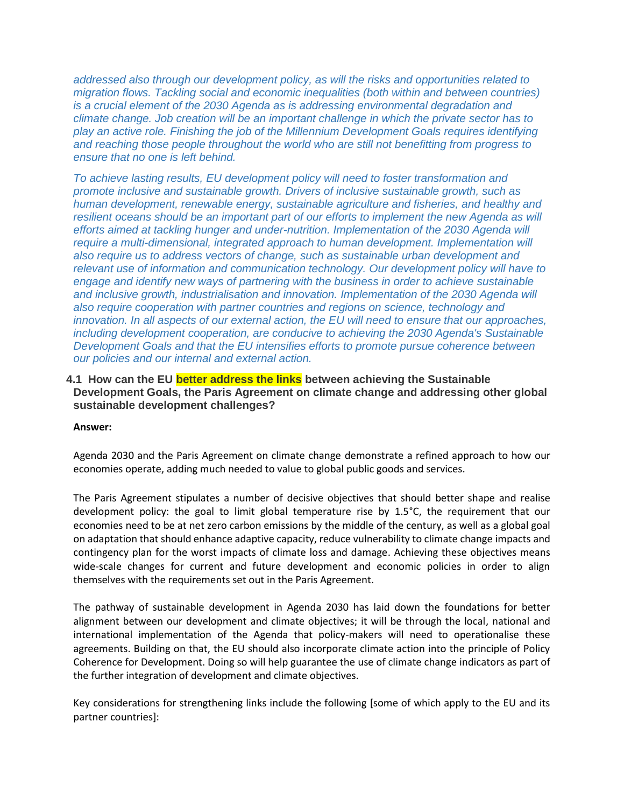*addressed also through our development policy, as will the risks and opportunities related to migration flows. Tackling social and economic inequalities (both within and between countries) is a crucial element of the 2030 Agenda as is addressing environmental degradation and climate change. Job creation will be an important challenge in which the private sector has to play an active role. Finishing the job of the Millennium Development Goals requires identifying and reaching those people throughout the world who are still not benefitting from progress to ensure that no one is left behind.*

*To achieve lasting results, EU development policy will need to foster transformation and promote inclusive and sustainable growth. Drivers of inclusive sustainable growth, such as human development, renewable energy, sustainable agriculture and fisheries, and healthy and resilient oceans should be an important part of our efforts to implement the new Agenda as will efforts aimed at tackling hunger and under-nutrition. Implementation of the 2030 Agenda will require a multi-dimensional, integrated approach to human development. Implementation will also require us to address vectors of change, such as sustainable urban development and relevant use of information and communication technology. Our development policy will have to engage and identify new ways of partnering with the business in order to achieve sustainable*  and inclusive growth, industrialisation and innovation. Implementation of the 2030 Agenda will *also require cooperation with partner countries and regions on science, technology and innovation. In all aspects of our external action, the EU will need to ensure that our approaches, including development cooperation, are conducive to achieving the 2030 Agenda's Sustainable Development Goals and that the EU intensifies efforts to promote pursue coherence between our policies and our internal and external action.*

### **4.1 How can the EU better address the links between achieving the Sustainable Development Goals, the Paris Agreement on climate change and addressing other global sustainable development challenges?**

#### **Answer:**

Agenda 2030 and the Paris Agreement on climate change demonstrate a refined approach to how our economies operate, adding much needed to value to global public goods and services.

The Paris Agreement stipulates a number of decisive objectives that should better shape and realise development policy: the goal to limit global temperature rise by 1.5°C, the requirement that our economies need to be at net zero carbon emissions by the middle of the century, as well as a global goal on adaptation that should enhance adaptive capacity, reduce vulnerability to climate change impacts and contingency plan for the worst impacts of climate loss and damage. Achieving these objectives means wide-scale changes for current and future development and economic policies in order to align themselves with the requirements set out in the Paris Agreement.

The pathway of sustainable development in Agenda 2030 has laid down the foundations for better alignment between our development and climate objectives; it will be through the local, national and international implementation of the Agenda that policy-makers will need to operationalise these agreements. Building on that, the EU should also incorporate climate action into the principle of Policy Coherence for Development. Doing so will help guarantee the use of climate change indicators as part of the further integration of development and climate objectives.

Key considerations for strengthening links include the following [some of which apply to the EU and its partner countries]: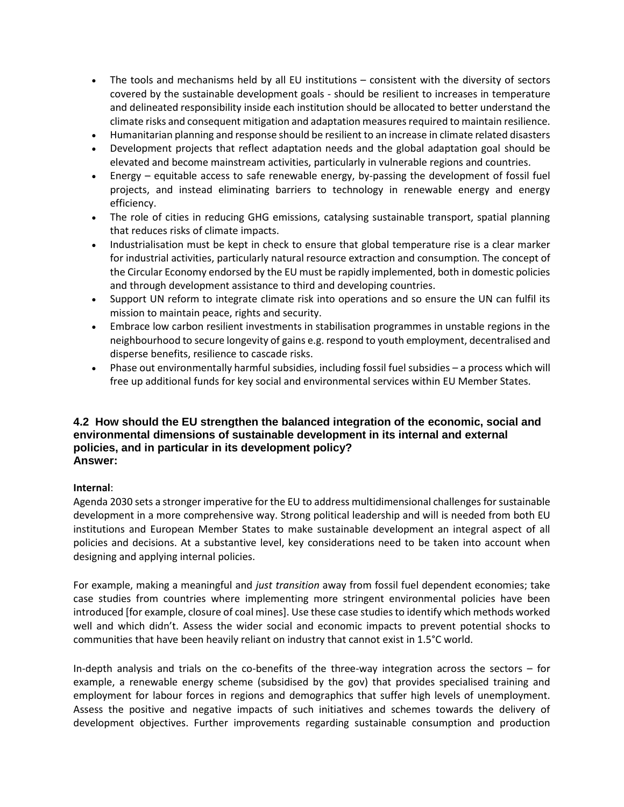- The tools and mechanisms held by all EU institutions consistent with the diversity of sectors covered by the sustainable development goals - should be resilient to increases in temperature and delineated responsibility inside each institution should be allocated to better understand the climate risks and consequent mitigation and adaptation measures required to maintain resilience.
- Humanitarian planning and response should be resilient to an increase in climate related disasters
- Development projects that reflect adaptation needs and the global adaptation goal should be elevated and become mainstream activities, particularly in vulnerable regions and countries.
- Energy equitable access to safe renewable energy, by-passing the development of fossil fuel projects, and instead eliminating barriers to technology in renewable energy and energy efficiency.
- The role of cities in reducing GHG emissions, catalysing sustainable transport, spatial planning that reduces risks of climate impacts.
- Industrialisation must be kept in check to ensure that global temperature rise is a clear marker for industrial activities, particularly natural resource extraction and consumption. The concept of the Circular Economy endorsed by the EU must be rapidly implemented, both in domestic policies and through development assistance to third and developing countries.
- Support UN reform to integrate climate risk into operations and so ensure the UN can fulfil its mission to maintain peace, rights and security.
- Embrace low carbon resilient investments in stabilisation programmes in unstable regions in the neighbourhood to secure longevity of gains e.g. respond to youth employment, decentralised and disperse benefits, resilience to cascade risks.
- Phase out environmentally harmful subsidies, including fossil fuel subsidies a process which will free up additional funds for key social and environmental services within EU Member States.

### **4.2 How should the EU strengthen the balanced integration of the economic, social and environmental dimensions of sustainable development in its internal and external policies, and in particular in its development policy? Answer:**

#### **Internal**:

Agenda 2030 sets a stronger imperative for the EU to address multidimensional challenges for sustainable development in a more comprehensive way. Strong political leadership and will is needed from both EU institutions and European Member States to make sustainable development an integral aspect of all policies and decisions. At a substantive level, key considerations need to be taken into account when designing and applying internal policies.

For example, making a meaningful and *just transition* away from fossil fuel dependent economies; take case studies from countries where implementing more stringent environmental policies have been introduced [for example, closure of coal mines]. Use these case studies to identify which methods worked well and which didn't. Assess the wider social and economic impacts to prevent potential shocks to communities that have been heavily reliant on industry that cannot exist in 1.5°C world.

In-depth analysis and trials on the co-benefits of the three-way integration across the sectors – for example, a renewable energy scheme (subsidised by the gov) that provides specialised training and employment for labour forces in regions and demographics that suffer high levels of unemployment. Assess the positive and negative impacts of such initiatives and schemes towards the delivery of development objectives. Further improvements regarding sustainable consumption and production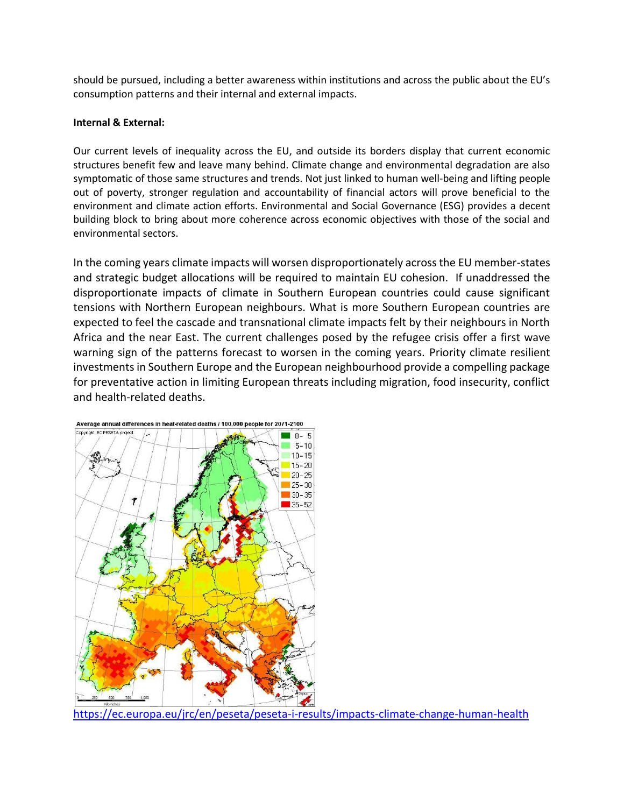should be pursued, including a better awareness within institutions and across the public about the EU's consumption patterns and their internal and external impacts.

#### **Internal & External:**

Our current levels of inequality across the EU, and outside its borders display that current economic structures benefit few and leave many behind. Climate change and environmental degradation are also symptomatic of those same structures and trends. Not just linked to human well-being and lifting people out of poverty, stronger regulation and accountability of financial actors will prove beneficial to the environment and climate action efforts. Environmental and Social Governance (ESG) provides a decent building block to bring about more coherence across economic objectives with those of the social and environmental sectors.

In the coming years climate impacts will worsen disproportionately across the EU member-states and strategic budget allocations will be required to maintain EU cohesion. If unaddressed the disproportionate impacts of climate in Southern European countries could cause significant tensions with Northern European neighbours. What is more Southern European countries are expected to feel the cascade and transnational climate impacts felt by their neighbours in North Africa and the near East. The current challenges posed by the refugee crisis offer a first wave warning sign of the patterns forecast to worsen in the coming years. Priority climate resilient investments in Southern Europe and the European neighbourhood provide a compelling package for preventative action in limiting European threats including migration, food insecurity, conflict and health-related deaths.



Average annual differences in heat-related deaths / 100,000 people for 2071-2100

<https://ec.europa.eu/jrc/en/peseta/peseta-i-results/impacts-climate-change-human-health>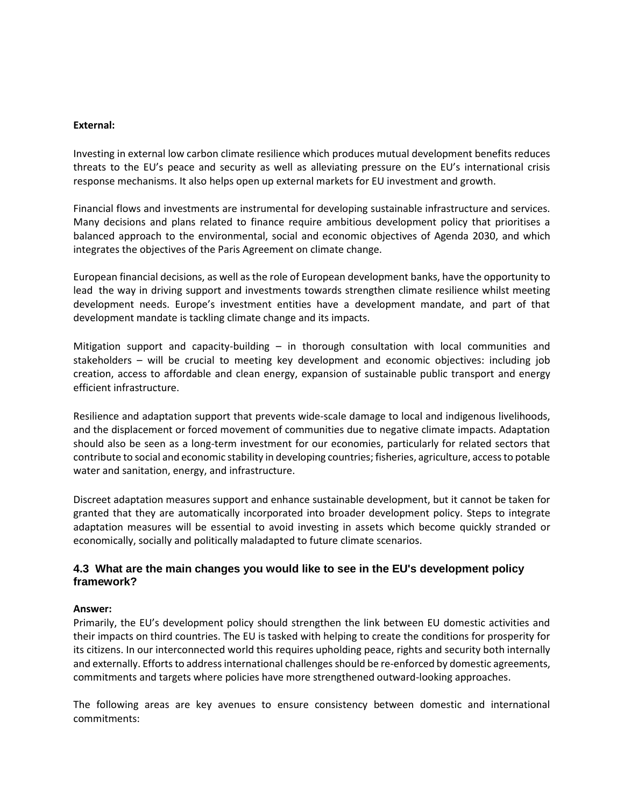#### **External:**

Investing in external low carbon climate resilience which produces mutual development benefits reduces threats to the EU's peace and security as well as alleviating pressure on the EU's international crisis response mechanisms. It also helps open up external markets for EU investment and growth.

Financial flows and investments are instrumental for developing sustainable infrastructure and services. Many decisions and plans related to finance require ambitious development policy that prioritises a balanced approach to the environmental, social and economic objectives of Agenda 2030, and which integrates the objectives of the Paris Agreement on climate change.

European financial decisions, as well as the role of European development banks, have the opportunity to lead the way in driving support and investments towards strengthen climate resilience whilst meeting development needs. Europe's investment entities have a development mandate, and part of that development mandate is tackling climate change and its impacts.

Mitigation support and capacity-building – in thorough consultation with local communities and stakeholders – will be crucial to meeting key development and economic objectives: including job creation, access to affordable and clean energy, expansion of sustainable public transport and energy efficient infrastructure.

Resilience and adaptation support that prevents wide-scale damage to local and indigenous livelihoods, and the displacement or forced movement of communities due to negative climate impacts. Adaptation should also be seen as a long-term investment for our economies, particularly for related sectors that contribute to social and economic stability in developing countries; fisheries, agriculture, access to potable water and sanitation, energy, and infrastructure.

Discreet adaptation measures support and enhance sustainable development, but it cannot be taken for granted that they are automatically incorporated into broader development policy. Steps to integrate adaptation measures will be essential to avoid investing in assets which become quickly stranded or economically, socially and politically maladapted to future climate scenarios.

### **4.3 What are the main changes you would like to see in the EU's development policy framework?**

#### **Answer:**

Primarily, the EU's development policy should strengthen the link between EU domestic activities and their impacts on third countries. The EU is tasked with helping to create the conditions for prosperity for its citizens. In our interconnected world this requires upholding peace, rights and security both internally and externally. Efforts to address international challenges should be re-enforced by domestic agreements, commitments and targets where policies have more strengthened outward-looking approaches.

The following areas are key avenues to ensure consistency between domestic and international commitments: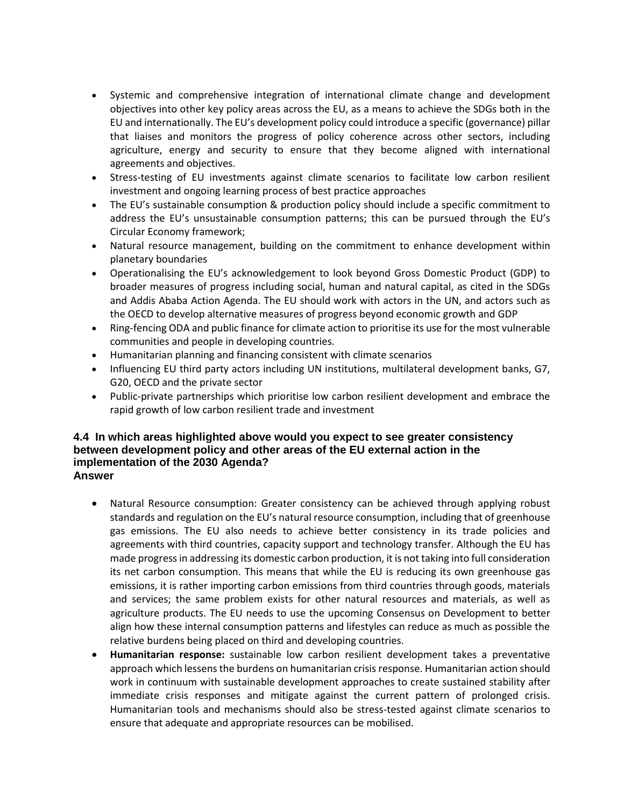- Systemic and comprehensive integration of international climate change and development objectives into other key policy areas across the EU, as a means to achieve the SDGs both in the EU and internationally. The EU's development policy could introduce a specific (governance) pillar that liaises and monitors the progress of policy coherence across other sectors, including agriculture, energy and security to ensure that they become aligned with international agreements and objectives.
- Stress-testing of EU investments against climate scenarios to facilitate low carbon resilient investment and ongoing learning process of best practice approaches
- The EU's sustainable consumption & production policy should include a specific commitment to address the EU's unsustainable consumption patterns; this can be pursued through the EU's Circular Economy framework;
- Natural resource management, building on the commitment to enhance development within planetary boundaries
- Operationalising the EU's acknowledgement to look beyond Gross Domestic Product (GDP) to broader measures of progress including social, human and natural capital, as cited in the SDGs and Addis Ababa Action Agenda. The EU should work with actors in the UN, and actors such as the OECD to develop alternative measures of progress beyond economic growth and GDP
- Ring-fencing ODA and public finance for climate action to prioritise its use for the most vulnerable communities and people in developing countries.
- Humanitarian planning and financing consistent with climate scenarios
- Influencing EU third party actors including UN institutions, multilateral development banks, G7, G20, OECD and the private sector
- Public-private partnerships which prioritise low carbon resilient development and embrace the rapid growth of low carbon resilient trade and investment

#### **4.4 In which areas highlighted above would you expect to see greater consistency between development policy and other areas of the EU external action in the implementation of the 2030 Agenda? Answer**

- Natural Resource consumption: Greater consistency can be achieved through applying robust standards and regulation on the EU's natural resource consumption, including that of greenhouse gas emissions. The EU also needs to achieve better consistency in its trade policies and agreements with third countries, capacity support and technology transfer. Although the EU has made progress in addressing its domestic carbon production, it is not taking into full consideration its net carbon consumption. This means that while the EU is reducing its own greenhouse gas emissions, it is rather importing carbon emissions from third countries through goods, materials and services; the same problem exists for other natural resources and materials, as well as agriculture products. The EU needs to use the upcoming Consensus on Development to better align how these internal consumption patterns and lifestyles can reduce as much as possible the relative burdens being placed on third and developing countries.
- **Humanitarian response:** sustainable low carbon resilient development takes a preventative approach which lessens the burdens on humanitarian crisis response. Humanitarian action should work in continuum with sustainable development approaches to create sustained stability after immediate crisis responses and mitigate against the current pattern of prolonged crisis. Humanitarian tools and mechanisms should also be stress-tested against climate scenarios to ensure that adequate and appropriate resources can be mobilised.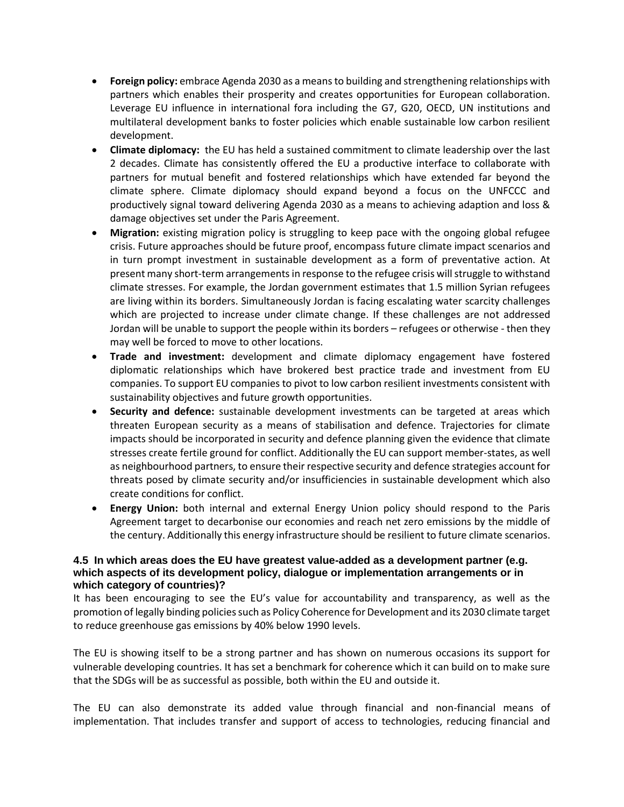- **Foreign policy:** embrace Agenda 2030 as a means to building and strengthening relationships with partners which enables their prosperity and creates opportunities for European collaboration. Leverage EU influence in international fora including the G7, G20, OECD, UN institutions and multilateral development banks to foster policies which enable sustainable low carbon resilient development.
- **Climate diplomacy:** the EU has held a sustained commitment to climate leadership over the last 2 decades. Climate has consistently offered the EU a productive interface to collaborate with partners for mutual benefit and fostered relationships which have extended far beyond the climate sphere. Climate diplomacy should expand beyond a focus on the UNFCCC and productively signal toward delivering Agenda 2030 as a means to achieving adaption and loss & damage objectives set under the Paris Agreement.
- **Migration:** existing migration policy is struggling to keep pace with the ongoing global refugee crisis. Future approaches should be future proof, encompass future climate impact scenarios and in turn prompt investment in sustainable development as a form of preventative action. At present many short-term arrangements in response to the refugee crisis will struggle to withstand climate stresses. For example, the Jordan government estimates that 1.5 million Syrian refugees are living within its borders. Simultaneously Jordan is facing escalating water scarcity challenges which are projected to increase under climate change. If these challenges are not addressed Jordan will be unable to support the people within its borders – refugees or otherwise - then they may well be forced to move to other locations.
- **Trade and investment:** development and climate diplomacy engagement have fostered diplomatic relationships which have brokered best practice trade and investment from EU companies. To support EU companies to pivot to low carbon resilient investments consistent with sustainability objectives and future growth opportunities.
- **Security and defence:** sustainable development investments can be targeted at areas which threaten European security as a means of stabilisation and defence. Trajectories for climate impacts should be incorporated in security and defence planning given the evidence that climate stresses create fertile ground for conflict. Additionally the EU can support member-states, as well as neighbourhood partners, to ensure their respective security and defence strategies account for threats posed by climate security and/or insufficiencies in sustainable development which also create conditions for conflict.
- **Energy Union:** both internal and external Energy Union policy should respond to the Paris Agreement target to decarbonise our economies and reach net zero emissions by the middle of the century. Additionally this energy infrastructure should be resilient to future climate scenarios.

### **4.5 In which areas does the EU have greatest value-added as a development partner (e.g. which aspects of its development policy, dialogue or implementation arrangements or in which category of countries)?**

It has been encouraging to see the EU's value for accountability and transparency, as well as the promotion of legally binding policies such as Policy Coherence for Development and its 2030 climate target to reduce greenhouse gas emissions by 40% below 1990 levels.

The EU is showing itself to be a strong partner and has shown on numerous occasions its support for vulnerable developing countries. It has set a benchmark for coherence which it can build on to make sure that the SDGs will be as successful as possible, both within the EU and outside it.

The EU can also demonstrate its added value through financial and non-financial means of implementation. That includes transfer and support of access to technologies, reducing financial and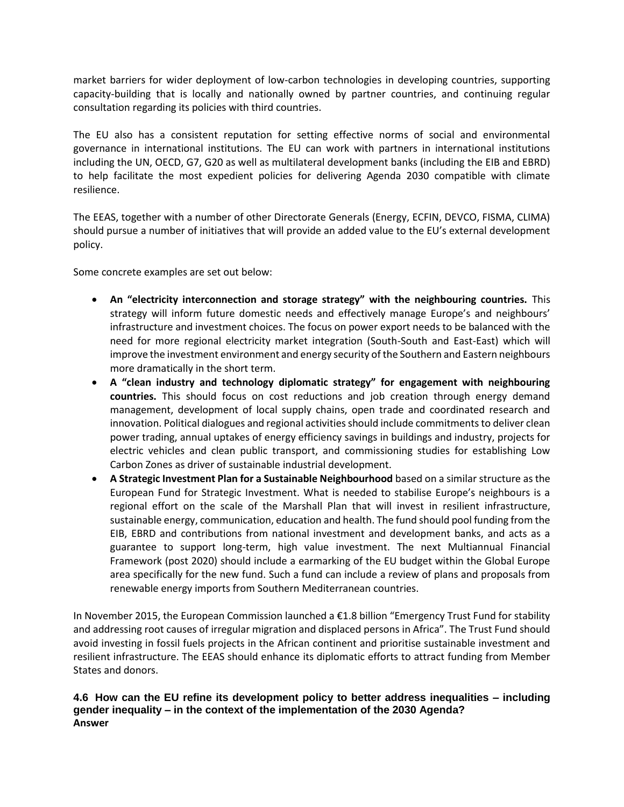market barriers for wider deployment of low-carbon technologies in developing countries, supporting capacity-building that is locally and nationally owned by partner countries, and continuing regular consultation regarding its policies with third countries.

The EU also has a consistent reputation for setting effective norms of social and environmental governance in international institutions. The EU can work with partners in international institutions including the UN, OECD, G7, G20 as well as multilateral development banks (including the EIB and EBRD) to help facilitate the most expedient policies for delivering Agenda 2030 compatible with climate resilience.

The EEAS, together with a number of other Directorate Generals (Energy, ECFIN, DEVCO, FISMA, CLIMA) should pursue a number of initiatives that will provide an added value to the EU's external development policy.

Some concrete examples are set out below:

- **An "electricity interconnection and storage strategy" with the neighbouring countries.** This strategy will inform future domestic needs and effectively manage Europe's and neighbours' infrastructure and investment choices. The focus on power export needs to be balanced with the need for more regional electricity market integration (South-South and East-East) which will improve the investment environment and energy security of the Southern and Eastern neighbours more dramatically in the short term.
- **A "clean industry and technology diplomatic strategy" for engagement with neighbouring countries.** This should focus on cost reductions and job creation through energy demand management, development of local supply chains, open trade and coordinated research and innovation. Political dialogues and regional activities should include commitments to deliver clean power trading, annual uptakes of energy efficiency savings in buildings and industry, projects for electric vehicles and clean public transport, and commissioning studies for establishing Low Carbon Zones as driver of sustainable industrial development.
- **A Strategic Investment Plan for a Sustainable Neighbourhood** based on a similar structure as the European Fund for Strategic Investment. What is needed to stabilise Europe's neighbours is a regional effort on the scale of the Marshall Plan that will invest in resilient infrastructure, sustainable energy, communication, education and health. The fund should pool funding from the EIB, EBRD and contributions from national investment and development banks, and acts as a guarantee to support long-term, high value investment. The next Multiannual Financial Framework (post 2020) should include a earmarking of the EU budget within the Global Europe area specifically for the new fund. Such a fund can include a review of plans and proposals from renewable energy imports from Southern Mediterranean countries.

In November 2015, the European Commission launched a €1.8 billion "Emergency Trust Fund for stability and addressing root causes of irregular migration and displaced persons in Africa". The Trust Fund should avoid investing in fossil fuels projects in the African continent and prioritise sustainable investment and resilient infrastructure. The EEAS should enhance its diplomatic efforts to attract funding from Member States and donors.

### **4.6 How can the EU refine its development policy to better address inequalities – including gender inequality – in the context of the implementation of the 2030 Agenda? Answer**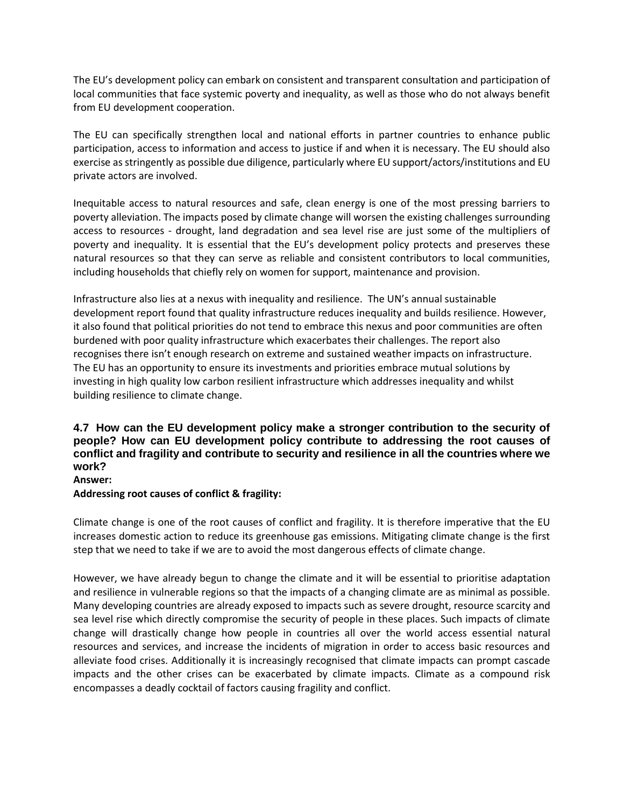The EU's development policy can embark on consistent and transparent consultation and participation of local communities that face systemic poverty and inequality, as well as those who do not always benefit from EU development cooperation.

The EU can specifically strengthen local and national efforts in partner countries to enhance public participation, access to information and access to justice if and when it is necessary. The EU should also exercise as stringently as possible due diligence, particularly where EU support/actors/institutions and EU private actors are involved.

Inequitable access to natural resources and safe, clean energy is one of the most pressing barriers to poverty alleviation. The impacts posed by climate change will worsen the existing challenges surrounding access to resources - drought, land degradation and sea level rise are just some of the multipliers of poverty and inequality. It is essential that the EU's development policy protects and preserves these natural resources so that they can serve as reliable and consistent contributors to local communities, including households that chiefly rely on women for support, maintenance and provision.

Infrastructure also lies at a nexus with inequality and resilience. The UN's annual sustainable development report found that quality infrastructure reduces inequality and builds resilience. However, it also found that political priorities do not tend to embrace this nexus and poor communities are often burdened with poor quality infrastructure which exacerbates their challenges. The report also recognises there isn't enough research on extreme and sustained weather impacts on infrastructure. The EU has an opportunity to ensure its investments and priorities embrace mutual solutions by investing in high quality low carbon resilient infrastructure which addresses inequality and whilst building resilience to climate change.

## **4.7 How can the EU development policy make a stronger contribution to the security of people? How can EU development policy contribute to addressing the root causes of conflict and fragility and contribute to security and resilience in all the countries where we work?**

**Answer:**

#### **Addressing root causes of conflict & fragility:**

Climate change is one of the root causes of conflict and fragility. It is therefore imperative that the EU increases domestic action to reduce its greenhouse gas emissions. Mitigating climate change is the first step that we need to take if we are to avoid the most dangerous effects of climate change.

However, we have already begun to change the climate and it will be essential to prioritise adaptation and resilience in vulnerable regions so that the impacts of a changing climate are as minimal as possible. Many developing countries are already exposed to impacts such as severe drought, resource scarcity and sea level rise which directly compromise the security of people in these places. Such impacts of climate change will drastically change how people in countries all over the world access essential natural resources and services, and increase the incidents of migration in order to access basic resources and alleviate food crises. Additionally it is increasingly recognised that climate impacts can prompt cascade impacts and the other crises can be exacerbated by climate impacts. Climate as a compound risk encompasses a deadly cocktail of factors causing fragility and conflict.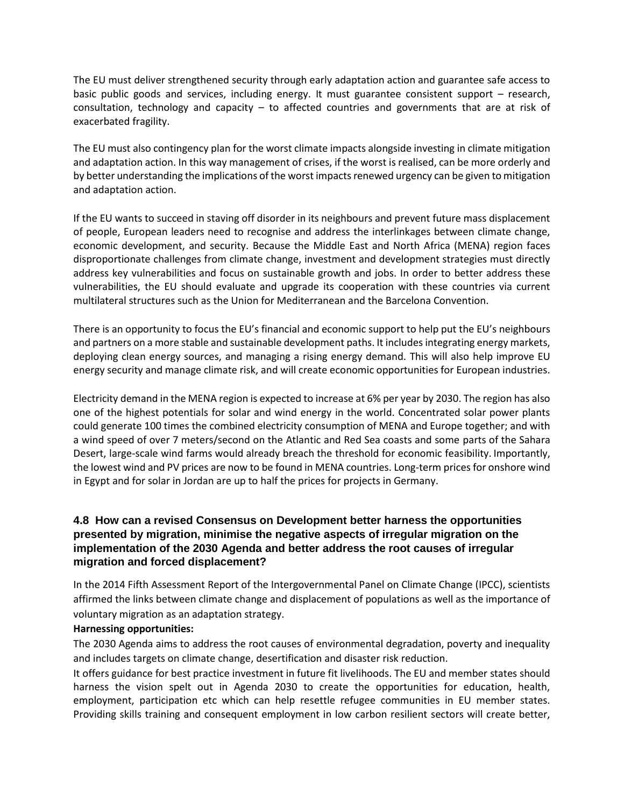The EU must deliver strengthened security through early adaptation action and guarantee safe access to basic public goods and services, including energy. It must guarantee consistent support – research, consultation, technology and capacity – to affected countries and governments that are at risk of exacerbated fragility.

The EU must also contingency plan for the worst climate impacts alongside investing in climate mitigation and adaptation action. In this way management of crises, if the worst is realised, can be more orderly and by better understanding the implications of the worst impacts renewed urgency can be given to mitigation and adaptation action.

If the EU wants to succeed in staving off disorder in its neighbours and prevent future mass displacement of people, European leaders need to recognise and address the interlinkages between climate change, economic development, and security. Because the Middle East and North Africa (MENA) region faces disproportionate challenges from climate change, investment and development strategies must directly address key vulnerabilities and focus on sustainable growth and jobs. In order to better address these vulnerabilities, the EU should evaluate and upgrade its cooperation with these countries via current multilateral structures such as the Union for Mediterranean and the Barcelona Convention.

There is an opportunity to focus the EU's financial and economic support to help put the EU's neighbours and partners on a more stable and sustainable development paths. It includes integrating energy markets, deploying clean energy sources, and managing a rising energy demand. This will also help improve EU energy security and manage climate risk, and will create economic opportunities for European industries.

Electricity demand in the MENA region is expected to increase at 6% per year by 2030. The region has also one of the highest potentials for solar and wind energy in the world. Concentrated solar power plants could generate 100 times the combined electricity consumption of MENA and Europe together; and with a wind speed of over 7 meters/second on the Atlantic and Red Sea coasts and some parts of the Sahara Desert, large-scale wind farms would already breach the threshold for economic feasibility. Importantly, the lowest wind and PV prices are now to be found in MENA countries. Long-term prices for onshore wind in Egypt and for solar in Jordan are up to half the prices for projects in Germany.

### **4.8 How can a revised Consensus on Development better harness the opportunities presented by migration, minimise the negative aspects of irregular migration on the implementation of the 2030 Agenda and better address the root causes of irregular migration and forced displacement?**

In the 2014 Fifth Assessment Report of the Intergovernmental Panel on Climate Change (IPCC), scientists affirmed the links between climate change and displacement of populations as well as the importance of voluntary migration as an adaptation strategy.

#### **Harnessing opportunities:**

The 2030 Agenda aims to address the root causes of environmental degradation, poverty and inequality and includes targets on climate change, desertification and disaster risk reduction.

It offers guidance for best practice investment in future fit livelihoods. The EU and member states should harness the vision spelt out in Agenda 2030 to create the opportunities for education, health, employment, participation etc which can help resettle refugee communities in EU member states. Providing skills training and consequent employment in low carbon resilient sectors will create better,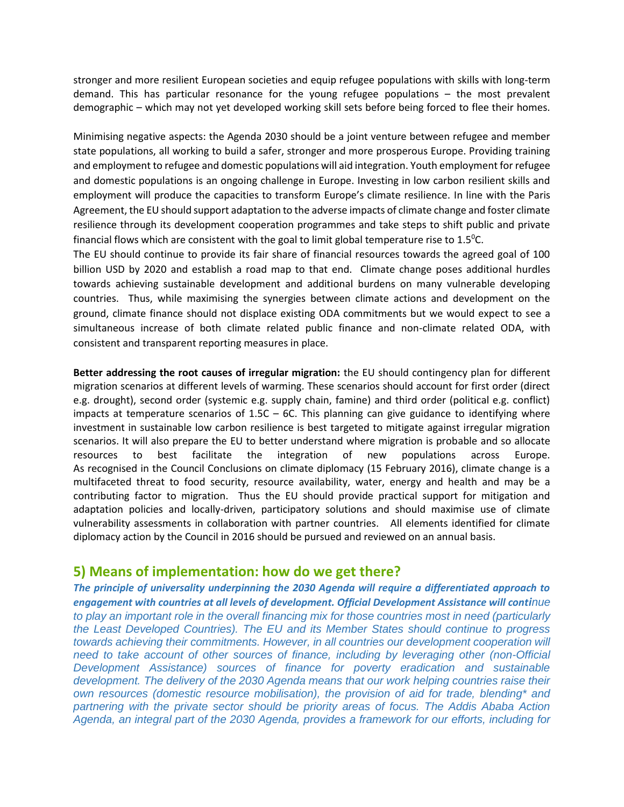stronger and more resilient European societies and equip refugee populations with skills with long-term demand. This has particular resonance for the young refugee populations – the most prevalent demographic – which may not yet developed working skill sets before being forced to flee their homes.

Minimising negative aspects: the Agenda 2030 should be a joint venture between refugee and member state populations, all working to build a safer, stronger and more prosperous Europe. Providing training and employment to refugee and domestic populations will aid integration. Youth employment for refugee and domestic populations is an ongoing challenge in Europe. Investing in low carbon resilient skills and employment will produce the capacities to transform Europe's climate resilience. In line with the Paris Agreement, the EU should support adaptation to the adverse impacts of climate change and foster climate resilience through its development cooperation programmes and take steps to shift public and private financial flows which are consistent with the goal to limit global temperature rise to  $1.5^{\circ}$ C.

The EU should continue to provide its fair share of financial resources towards the agreed goal of 100 billion USD by 2020 and establish a road map to that end. Climate change poses additional hurdles towards achieving sustainable development and additional burdens on many vulnerable developing countries. Thus, while maximising the synergies between climate actions and development on the ground, climate finance should not displace existing ODA commitments but we would expect to see a simultaneous increase of both climate related public finance and non-climate related ODA, with consistent and transparent reporting measures in place.

**Better addressing the root causes of irregular migration:** the EU should contingency plan for different migration scenarios at different levels of warming. These scenarios should account for first order (direct e.g. drought), second order (systemic e.g. supply chain, famine) and third order (political e.g. conflict) impacts at temperature scenarios of  $1.5C - 6C$ . This planning can give guidance to identifying where investment in sustainable low carbon resilience is best targeted to mitigate against irregular migration scenarios. It will also prepare the EU to better understand where migration is probable and so allocate resources to best facilitate the integration of new populations across Europe. As recognised in the Council Conclusions on climate diplomacy (15 February 2016), climate change is a multifaceted threat to food security, resource availability, water, energy and health and may be a contributing factor to migration. Thus the EU should provide practical support for mitigation and adaptation policies and locally-driven, participatory solutions and should maximise use of climate vulnerability assessments in collaboration with partner countries. All elements identified for climate diplomacy action by the Council in 2016 should be pursued and reviewed on an annual basis.

# **5) Means of implementation: how do we get there?**

*The principle of universality underpinning the 2030 Agenda will require a differentiated approach to engagement with countries at all levels of development. Official Development Assistance will continue to play an important role in the overall financing mix for those countries most in need (particularly the Least Developed Countries). The EU and its Member States should continue to progress towards achieving their commitments. However, in all countries our development cooperation will need to take account of other sources of finance, including by leveraging other (non-Official Development Assistance) sources of finance for poverty eradication and sustainable development. The delivery of the 2030 Agenda means that our work helping countries raise their own resources (domestic resource mobilisation), the provision of aid for trade, blending\* and partnering with the private sector should be priority areas of focus. The Addis Ababa Action Agenda, an integral part of the 2030 Agenda, provides a framework for our efforts, including for*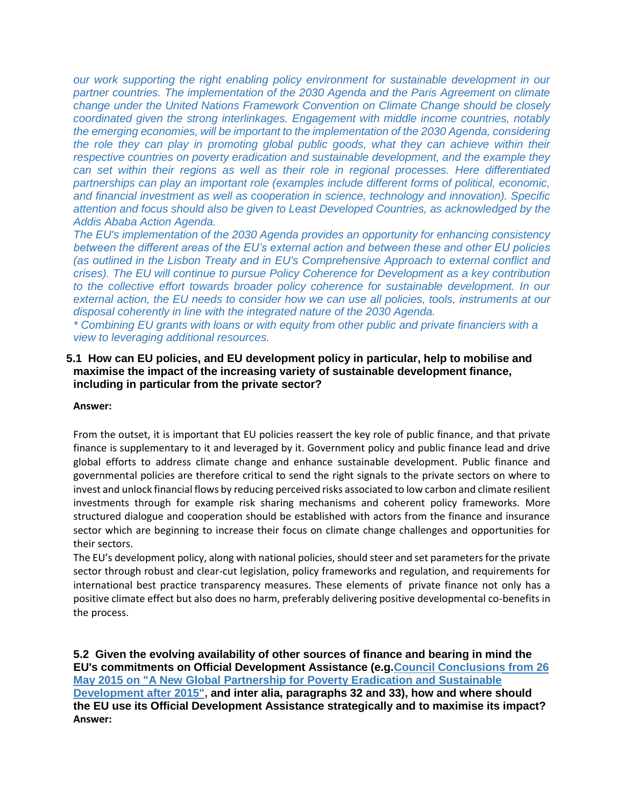*our work supporting the right enabling policy environment for sustainable development in our partner countries. The implementation of the 2030 Agenda and the Paris Agreement on climate change under the United Nations Framework Convention on Climate Change should be closely coordinated given the strong interlinkages. Engagement with middle income countries, notably the emerging economies, will be important to the implementation of the 2030 Agenda, considering the role they can play in promoting global public goods, what they can achieve within their respective countries on poverty eradication and sustainable development, and the example they can set within their regions as well as their role in regional processes. Here differentiated partnerships can play an important role (examples include different forms of political, economic, and financial investment as well as cooperation in science, technology and innovation). Specific attention and focus should also be given to Least Developed Countries, as acknowledged by the Addis Ababa Action Agenda.*

*The EU's implementation of the 2030 Agenda provides an opportunity for enhancing consistency between the different areas of the EU's external action and between these and other EU policies (as outlined in the Lisbon Treaty and in [EU's Comprehensive Approach to external conflict and](http://www.eeas.europa.eu/statements/docs/2013/131211_03_en.pdf)  [crises\)](http://www.eeas.europa.eu/statements/docs/2013/131211_03_en.pdf). The EU will continue to pursue [Policy Coherence for Development](https://ec.europa.eu/europeaid/policies/policy-coherence-development_en) as a key contribution to the collective effort towards broader policy coherence for sustainable development. In our external action, the EU needs to consider how we can use all policies, tools, instruments at our disposal coherently in line with the integrated nature of the 2030 Agenda.*

*\* Combining EU grants with loans or with equity from other public and private financiers with a view to leveraging additional resources.*

### **5.1 How can EU policies, and EU development policy in particular, help to mobilise and maximise the impact of the increasing variety of sustainable development finance, including in particular from the private sector?**

#### **Answer:**

From the outset, it is important that EU policies reassert the key role of public finance, and that private finance is supplementary to it and leveraged by it. Government policy and public finance lead and drive global efforts to address climate change and enhance sustainable development. Public finance and governmental policies are therefore critical to send the right signals to the private sectors on where to invest and unlock financial flows by reducing perceived risks associated to low carbon and climate resilient investments through for example risk sharing mechanisms and coherent policy frameworks. More structured dialogue and cooperation should be established with actors from the finance and insurance sector which are beginning to increase their focus on climate change challenges and opportunities for their sectors.

The EU's development policy, along with national policies, should steer and set parameters for the private sector through robust and clear-cut legislation, policy frameworks and regulation, and requirements for international best practice transparency measures. These elements of private finance not only has a positive climate effect but also does no harm, preferably delivering positive developmental co-benefits in the process.

**5.2 Given the evolving availability of other sources of finance and bearing in mind the EU's commitments on Official Development Assistance (e.g[.Council Conclusions from 26](http://data.consilium.europa.eu/doc/document/ST-9241-2015-INIT/en/pdf)  [May 2015 on "A New Global Partnership for Poverty Eradication and Sustainable](http://data.consilium.europa.eu/doc/document/ST-9241-2015-INIT/en/pdf)  [Development after 2015",](http://data.consilium.europa.eu/doc/document/ST-9241-2015-INIT/en/pdf) and inter alia, paragraphs 32 and 33), how and where should the EU use its Official Development Assistance strategically and to maximise its impact? Answer:**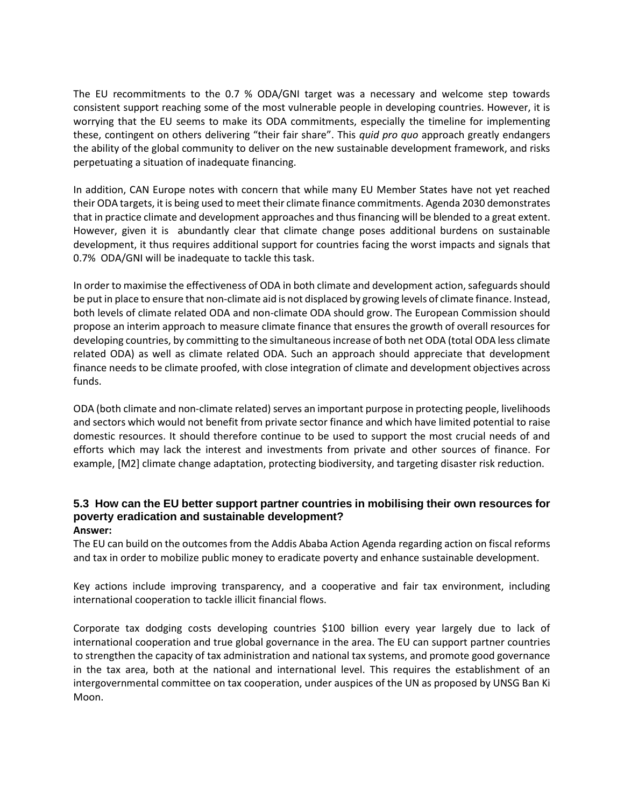The EU recommitments to the 0.7 % ODA/GNI target was a necessary and welcome step towards consistent support reaching some of the most vulnerable people in developing countries. However, it is worrying that the EU seems to make its ODA commitments, especially the timeline for implementing these, contingent on others delivering "their fair share". This *quid pro quo* approach greatly endangers the ability of the global community to deliver on the new sustainable development framework, and risks perpetuating a situation of inadequate financing.

In addition, CAN Europe notes with concern that while many EU Member States have not yet reached their ODA targets, it is being used to meet their climate finance commitments. Agenda 2030 demonstrates that in practice climate and development approaches and thus financing will be blended to a great extent. However, given it is abundantly clear that climate change poses additional burdens on sustainable development, it thus requires additional support for countries facing the worst impacts and signals that 0.7% ODA/GNI will be inadequate to tackle this task.

In order to maximise the effectiveness of ODA in both climate and development action, safeguards should be put in place to ensure that non-climate aid is not displaced by growing levels of climate finance. Instead, both levels of climate related ODA and non-climate ODA should grow. The European Commission should propose an interim approach to measure climate finance that ensures the growth of overall resources for developing countries, by committing to the simultaneous increase of both net ODA (total ODA less climate related ODA) as well as climate related ODA. Such an approach should appreciate that development finance needs to be climate proofed, with close integration of climate and development objectives across funds.

ODA (both climate and non-climate related) serves an important purpose in protecting people, livelihoods and sectors which would not benefit from private sector finance and which have limited potential to raise domestic resources. It should therefore continue to be used to support the most crucial needs of and efforts which may lack the interest and investments from private and other sources of finance. For example, [M2] climate change adaptation, protecting biodiversity, and targeting disaster risk reduction.

#### **5.3 How can the EU better support partner countries in mobilising their own resources for poverty eradication and sustainable development? Answer:**

The EU can build on the outcomes from the Addis Ababa Action Agenda regarding action on fiscal reforms and tax in order to mobilize public money to eradicate poverty and enhance sustainable development.

Key actions include improving transparency, and a cooperative and fair tax environment, including international cooperation to tackle illicit financial flows.

Corporate tax dodging costs developing countries \$100 billion every year largely due to lack of international cooperation and true global governance in the area. The EU can support partner countries to strengthen the capacity of tax administration and national tax systems, and promote good governance in the tax area, both at the national and international level. This requires the establishment of an intergovernmental committee on tax cooperation, under auspices of the UN as proposed by UNSG Ban Ki Moon.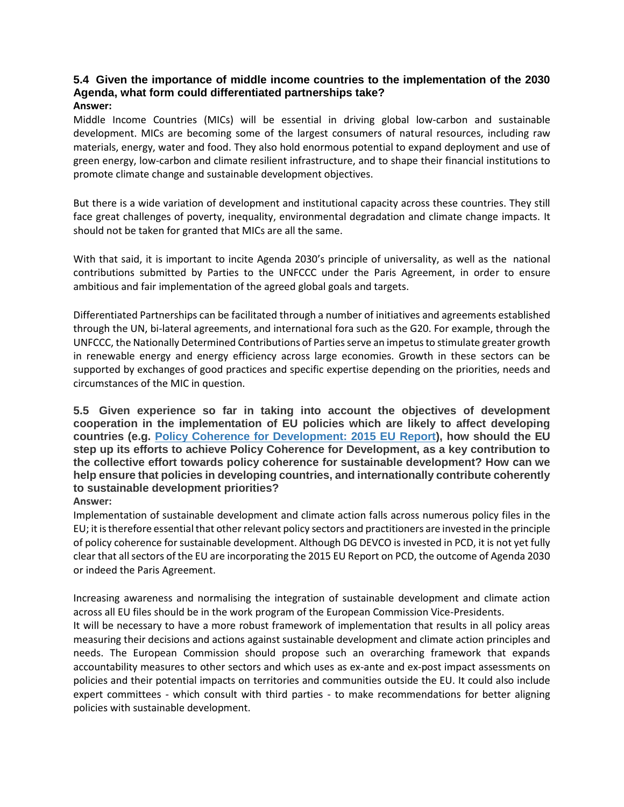# **5.4 Given the importance of middle income countries to the implementation of the 2030 Agenda, what form could differentiated partnerships take?**

### **Answer:**

Middle Income Countries (MICs) will be essential in driving global low-carbon and sustainable development. MICs are becoming some of the largest consumers of natural resources, including raw materials, energy, water and food. They also hold enormous potential to expand deployment and use of green energy, low-carbon and climate resilient infrastructure, and to shape their financial institutions to promote climate change and sustainable development objectives.

But there is a wide variation of development and institutional capacity across these countries. They still face great challenges of poverty, inequality, environmental degradation and climate change impacts. It should not be taken for granted that MICs are all the same.

With that said, it is important to incite Agenda 2030's principle of universality, as well as the national contributions submitted by Parties to the UNFCCC under the Paris Agreement, in order to ensure ambitious and fair implementation of the agreed global goals and targets.

Differentiated Partnerships can be facilitated through a number of initiatives and agreements established through the UN, bi-lateral agreements, and international fora such as the G20. For example, through the UNFCCC, the Nationally Determined Contributions of Parties serve an impetus to stimulate greater growth in renewable energy and energy efficiency across large economies. Growth in these sectors can be supported by exchanges of good practices and specific expertise depending on the priorities, needs and circumstances of the MIC in question.

**5.5 Given experience so far in taking into account the objectives of development cooperation in the implementation of EU policies which are likely to affect developing countries (e.g. [Policy Coherence for Development: 2015 EU Report\)](https://ec.europa.eu/europeaid/sites/devco/files/pcd-report-2015_en.pdf), how should the EU step up its efforts to achieve Policy Coherence for Development, as a key contribution to the collective effort towards policy coherence for sustainable development? How can we help ensure that policies in developing countries, and internationally contribute coherently to sustainable development priorities?** 

#### **Answer:**

Implementation of sustainable development and climate action falls across numerous policy files in the EU; it is therefore essential that other relevant policy sectors and practitioners are invested in the principle of policy coherence for sustainable development. Although DG DEVCO is invested in PCD, it is not yet fully clear that all sectors of the EU are incorporating the 2015 EU Report on PCD, the outcome of Agenda 2030 or indeed the Paris Agreement.

Increasing awareness and normalising the integration of sustainable development and climate action across all EU files should be in the work program of the European Commission Vice-Presidents.

It will be necessary to have a more robust framework of implementation that results in all policy areas measuring their decisions and actions against sustainable development and climate action principles and needs. The European Commission should propose such an overarching framework that expands accountability measures to other sectors and which uses as ex-ante and ex-post impact assessments on policies and their potential impacts on territories and communities outside the EU. It could also include expert committees - which consult with third parties - to make recommendations for better aligning policies with sustainable development.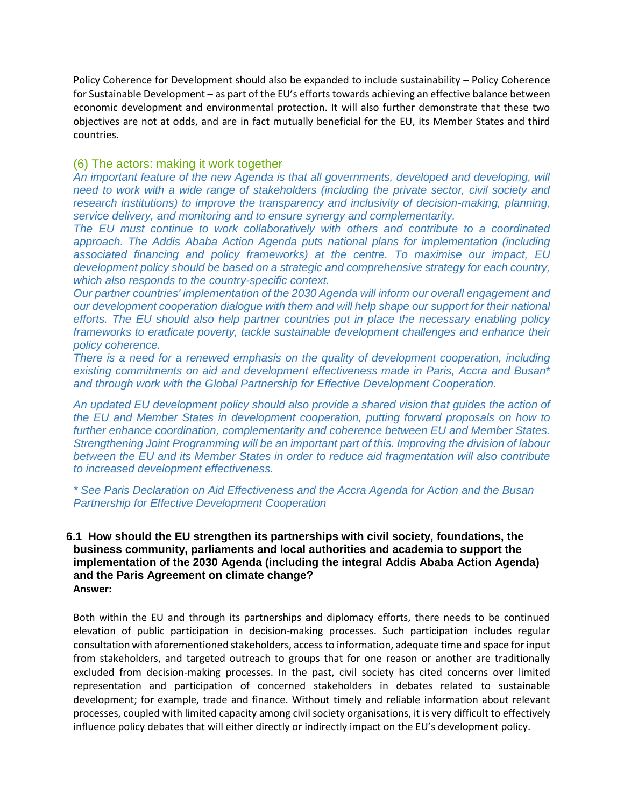Policy Coherence for Development should also be expanded to include sustainability – Policy Coherence for Sustainable Development – as part of the EU's efforts towards achieving an effective balance between economic development and environmental protection. It will also further demonstrate that these two objectives are not at odds, and are in fact mutually beneficial for the EU, its Member States and third countries.

### (6) The actors: making it work together

*An important feature of the new Agenda is that all governments, developed and developing, will need to work with a wide range of stakeholders (including the private sector, civil society and research institutions) to improve the transparency and inclusivity of decision-making, planning, service delivery, and monitoring and to ensure synergy and complementarity.*

*The EU must continue to work collaboratively with others and contribute to a coordinated approach. The Addis Ababa Action Agenda puts national plans for implementation (including associated financing and policy frameworks) at the centre. To maximise our impact, EU development policy should be based on a strategic and comprehensive strategy for each country, which also responds to the country-specific context.*

*Our partner countries' implementation of the 2030 Agenda will inform our overall engagement and our development cooperation dialogue with them and will help shape our support for their national efforts. The EU should also help partner countries put in place the necessary enabling policy frameworks to eradicate poverty, tackle sustainable development challenges and enhance their policy coherence.*

*There is a need for a renewed emphasis on the quality of development cooperation, including existing commitments on aid and development effectiveness made in Paris, Accra and Busan\* and through work with the [Global Partnership for Effective Development Cooperation.](http://effectivecooperation.org/)*

*An updated EU development policy should also provide a shared vision that guides the action of the EU and Member States in development cooperation, putting forward proposals on how to further enhance coordination, complementarity and coherence between EU and Member States. Strengthening [Joint Programming](https://ec.europa.eu/europeaid/policies/eu-approach-aid-effectiveness/joint-programming_en) will be an important part of this. Improving the division of labour between the EU and its Member States in order to reduce aid fragmentation will also contribute to increased development effectiveness.*

*\* See [Paris Declaration on Aid Effectiveness and the Accra Agenda for Action](http://www.oecd.org/dac/effectiveness/34428351.pdf) and the [Busan](http://www.oecd.org/dac/effectiveness/49650173.pdf)  [Partnership for Effective Development Cooperation](http://www.oecd.org/dac/effectiveness/49650173.pdf)*

#### **6.1 How should the EU strengthen its partnerships with civil society, foundations, the business community, parliaments and local authorities and academia to support the implementation of the 2030 Agenda (including the integral Addis Ababa Action Agenda) and the Paris Agreement on climate change? Answer:**

Both within the EU and through its partnerships and diplomacy efforts, there needs to be continued elevation of public participation in decision-making processes. Such participation includes regular consultation with aforementioned stakeholders, access to information, adequate time and space for input from stakeholders, and targeted outreach to groups that for one reason or another are traditionally excluded from decision-making processes. In the past, civil society has cited concerns over limited representation and participation of concerned stakeholders in debates related to sustainable development; for example, trade and finance. Without timely and reliable information about relevant processes, coupled with limited capacity among civil society organisations, it is very difficult to effectively influence policy debates that will either directly or indirectly impact on the EU's development policy.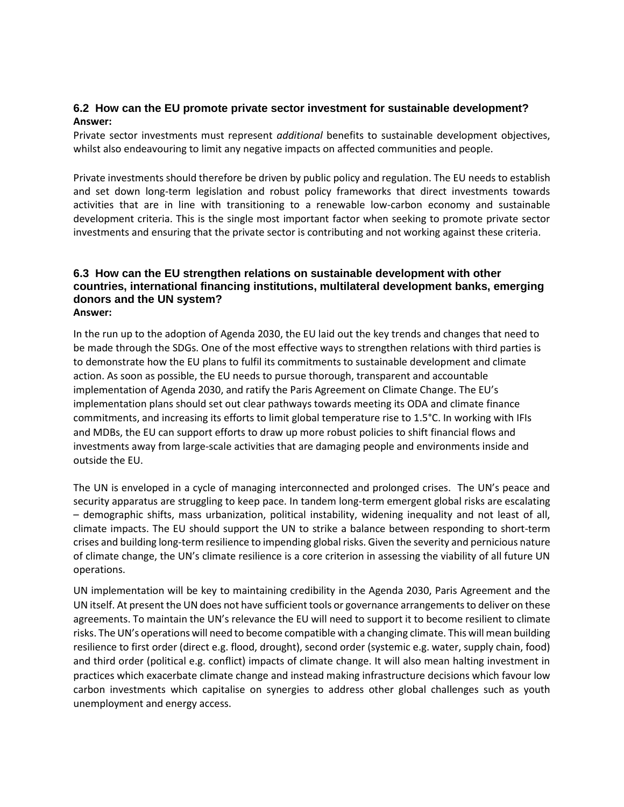### **6.2 How can the EU promote private sector investment for sustainable development? Answer:**

Private sector investments must represent *additional* benefits to sustainable development objectives, whilst also endeavouring to limit any negative impacts on affected communities and people.

Private investments should therefore be driven by public policy and regulation. The EU needs to establish and set down long-term legislation and robust policy frameworks that direct investments towards activities that are in line with transitioning to a renewable low-carbon economy and sustainable development criteria. This is the single most important factor when seeking to promote private sector investments and ensuring that the private sector is contributing and not working against these criteria.

#### **6.3 How can the EU strengthen relations on sustainable development with other countries, international financing institutions, multilateral development banks, emerging donors and the UN system? Answer:**

In the run up to the adoption of Agenda 2030, the EU laid out the key trends and changes that need to be made through the SDGs. One of the most effective ways to strengthen relations with third parties is to demonstrate how the EU plans to fulfil its commitments to sustainable development and climate action. As soon as possible, the EU needs to pursue thorough, transparent and accountable implementation of Agenda 2030, and ratify the Paris Agreement on Climate Change. The EU's implementation plans should set out clear pathways towards meeting its ODA and climate finance commitments, and increasing its efforts to limit global temperature rise to 1.5°C. In working with IFIs and MDBs, the EU can support efforts to draw up more robust policies to shift financial flows and investments away from large-scale activities that are damaging people and environments inside and outside the EU.

The UN is enveloped in a cycle of managing interconnected and prolonged crises. The UN's peace and security apparatus are struggling to keep pace. In tandem long-term emergent global risks are escalating – demographic shifts, mass urbanization, political instability, widening inequality and not least of all, climate impacts. The EU should support the UN to strike a balance between responding to short-term crises and building long-term resilience to impending global risks. Given the severity and pernicious nature of climate change, the UN's climate resilience is a core criterion in assessing the viability of all future UN operations.

UN implementation will be key to maintaining credibility in the Agenda 2030, Paris Agreement and the UN itself. At present the UN does not have sufficient tools or governance arrangements to deliver on these agreements. To maintain the UN's relevance the EU will need to support it to become resilient to climate risks. The UN's operations will need to become compatible with a changing climate. This will mean building resilience to first order (direct e.g. flood, drought), second order (systemic e.g. water, supply chain, food) and third order (political e.g. conflict) impacts of climate change. It will also mean halting investment in practices which exacerbate climate change and instead making infrastructure decisions which favour low carbon investments which capitalise on synergies to address other global challenges such as youth unemployment and energy access.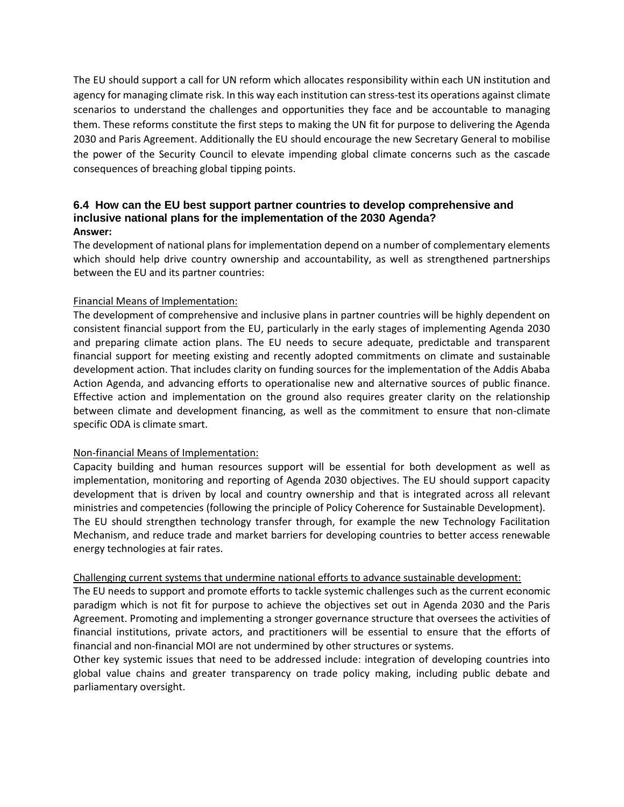The EU should support a call for UN reform which allocates responsibility within each UN institution and agency for managing climate risk. In this way each institution can stress-test its operations against climate scenarios to understand the challenges and opportunities they face and be accountable to managing them. These reforms constitute the first steps to making the UN fit for purpose to delivering the Agenda 2030 and Paris Agreement. Additionally the EU should encourage the new Secretary General to mobilise the power of the Security Council to elevate impending global climate concerns such as the cascade consequences of breaching global tipping points.

### **6.4 How can the EU best support partner countries to develop comprehensive and inclusive national plans for the implementation of the 2030 Agenda? Answer:**

The development of national plans for implementation depend on a number of complementary elements which should help drive country ownership and accountability, as well as strengthened partnerships between the EU and its partner countries:

### Financial Means of Implementation:

The development of comprehensive and inclusive plans in partner countries will be highly dependent on consistent financial support from the EU, particularly in the early stages of implementing Agenda 2030 and preparing climate action plans. The EU needs to secure adequate, predictable and transparent financial support for meeting existing and recently adopted commitments on climate and sustainable development action. That includes clarity on funding sources for the implementation of the Addis Ababa Action Agenda, and advancing efforts to operationalise new and alternative sources of public finance. Effective action and implementation on the ground also requires greater clarity on the relationship between climate and development financing, as well as the commitment to ensure that non-climate specific ODA is climate smart.

#### Non-financial Means of Implementation:

Capacity building and human resources support will be essential for both development as well as implementation, monitoring and reporting of Agenda 2030 objectives. The EU should support capacity development that is driven by local and country ownership and that is integrated across all relevant ministries and competencies (following the principle of Policy Coherence for Sustainable Development). The EU should strengthen technology transfer through, for example the new Technology Facilitation Mechanism, and reduce trade and market barriers for developing countries to better access renewable energy technologies at fair rates.

#### Challenging current systems that undermine national efforts to advance sustainable development:

The EU needs to support and promote efforts to tackle systemic challenges such as the current economic paradigm which is not fit for purpose to achieve the objectives set out in Agenda 2030 and the Paris Agreement. Promoting and implementing a stronger governance structure that oversees the activities of financial institutions, private actors, and practitioners will be essential to ensure that the efforts of financial and non-financial MOI are not undermined by other structures or systems.

Other key systemic issues that need to be addressed include: integration of developing countries into global value chains and greater transparency on trade policy making, including public debate and parliamentary oversight.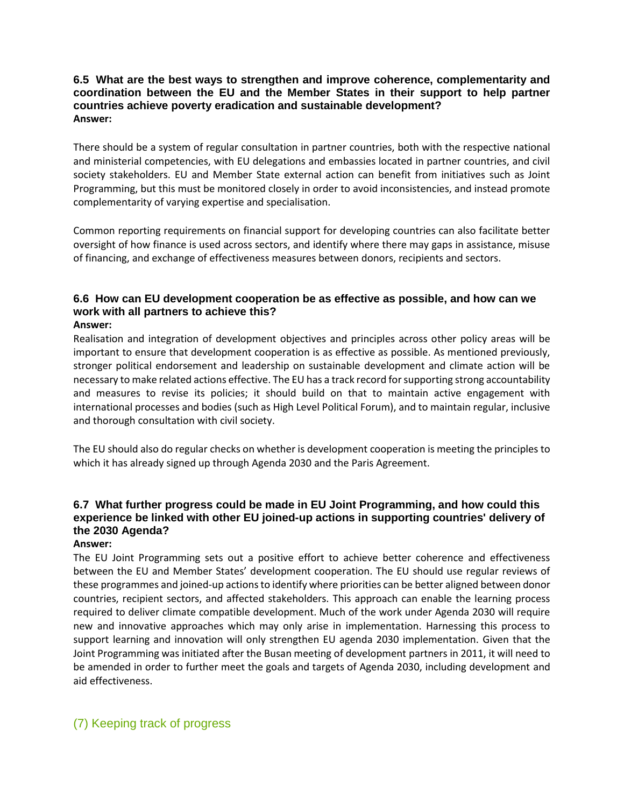### **6.5 What are the best ways to strengthen and improve coherence, complementarity and coordination between the EU and the Member States in their support to help partner countries achieve poverty eradication and sustainable development? Answer:**

There should be a system of regular consultation in partner countries, both with the respective national and ministerial competencies, with EU delegations and embassies located in partner countries, and civil society stakeholders. EU and Member State external action can benefit from initiatives such as Joint Programming, but this must be monitored closely in order to avoid inconsistencies, and instead promote complementarity of varying expertise and specialisation.

Common reporting requirements on financial support for developing countries can also facilitate better oversight of how finance is used across sectors, and identify where there may gaps in assistance, misuse of financing, and exchange of effectiveness measures between donors, recipients and sectors.

# **6.6 How can EU development cooperation be as effective as possible, and how can we work with all partners to achieve this?**

#### **Answer:**

Realisation and integration of development objectives and principles across other policy areas will be important to ensure that development cooperation is as effective as possible. As mentioned previously, stronger political endorsement and leadership on sustainable development and climate action will be necessary to make related actions effective. The EU has a track record for supporting strong accountability and measures to revise its policies; it should build on that to maintain active engagement with international processes and bodies (such as High Level Political Forum), and to maintain regular, inclusive and thorough consultation with civil society.

The EU should also do regular checks on whether is development cooperation is meeting the principles to which it has already signed up through Agenda 2030 and the Paris Agreement.

## **6.7 What further progress could be made in EU Joint Programming, and how could this experience be linked with other EU joined-up actions in supporting countries' delivery of the 2030 Agenda?**

#### **Answer:**

The EU Joint Programming sets out a positive effort to achieve better coherence and effectiveness between the EU and Member States' development cooperation. The EU should use regular reviews of these programmes and joined-up actions to identify where priorities can be better aligned between donor countries, recipient sectors, and affected stakeholders. This approach can enable the learning process required to deliver climate compatible development. Much of the work under Agenda 2030 will require new and innovative approaches which may only arise in implementation. Harnessing this process to support learning and innovation will only strengthen EU agenda 2030 implementation. Given that the Joint Programming was initiated after the Busan meeting of development partners in 2011, it will need to be amended in order to further meet the goals and targets of Agenda 2030, including development and aid effectiveness.

### (7) Keeping track of progress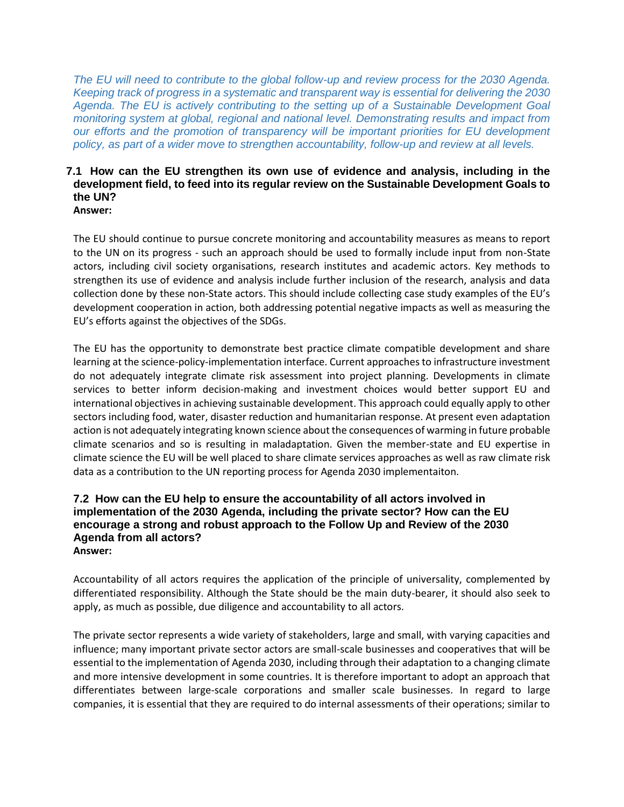*The EU will need to contribute to the global follow-up and review process for the 2030 Agenda. Keeping track of progress in a systematic and transparent way is essential for delivering the 2030 Agenda. The EU is actively contributing to the setting up of a Sustainable Development Goal monitoring system at global, regional and national level. Demonstrating results and impact from our efforts and the promotion of transparency will be important priorities for EU development policy, as part of a wider move to strengthen accountability, follow-up and review at all levels.*

#### **7.1 How can the EU strengthen its own use of evidence and analysis, including in the development field, to feed into its regular review on the Sustainable Development Goals to the UN? Answer:**

The EU should continue to pursue concrete monitoring and accountability measures as means to report to the UN on its progress - such an approach should be used to formally include input from non-State actors, including civil society organisations, research institutes and academic actors. Key methods to strengthen its use of evidence and analysis include further inclusion of the research, analysis and data collection done by these non-State actors. This should include collecting case study examples of the EU's development cooperation in action, both addressing potential negative impacts as well as measuring the EU's efforts against the objectives of the SDGs.

The EU has the opportunity to demonstrate best practice climate compatible development and share learning at the science-policy-implementation interface. Current approaches to infrastructure investment do not adequately integrate climate risk assessment into project planning. Developments in climate services to better inform decision-making and investment choices would better support EU and international objectives in achieving sustainable development. This approach could equally apply to other sectors including food, water, disaster reduction and humanitarian response. At present even adaptation action is not adequately integrating known science about the consequences of warming in future probable climate scenarios and so is resulting in maladaptation. Given the member-state and EU expertise in climate science the EU will be well placed to share climate services approaches as well as raw climate risk data as a contribution to the UN reporting process for Agenda 2030 implementaiton.

#### **7.2 How can the EU help to ensure the accountability of all actors involved in implementation of the 2030 Agenda, including the private sector? How can the EU encourage a strong and robust approach to the Follow Up and Review of the 2030 Agenda from all actors? Answer:**

Accountability of all actors requires the application of the principle of universality, complemented by differentiated responsibility. Although the State should be the main duty-bearer, it should also seek to apply, as much as possible, due diligence and accountability to all actors.

The private sector represents a wide variety of stakeholders, large and small, with varying capacities and influence; many important private sector actors are small-scale businesses and cooperatives that will be essential to the implementation of Agenda 2030, including through their adaptation to a changing climate and more intensive development in some countries. It is therefore important to adopt an approach that differentiates between large-scale corporations and smaller scale businesses. In regard to large companies, it is essential that they are required to do internal assessments of their operations; similar to